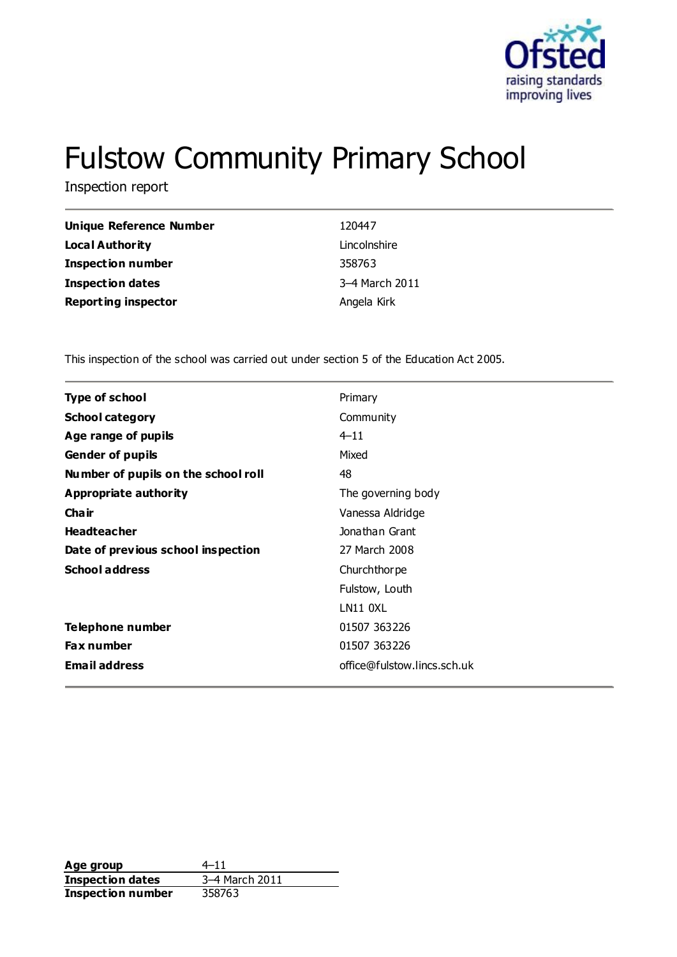

# Fulstow Community Primary School

Inspection report

| Unique Reference Number    | 120447         |
|----------------------------|----------------|
| Local Authority            | Lincolnshire   |
| <b>Inspection number</b>   | 358763         |
| <b>Inspection dates</b>    | 3-4 March 2011 |
| <b>Reporting inspector</b> | Angela Kirk    |

This inspection of the school was carried out under section 5 of the Education Act 2005.

| <b>Type of school</b>               | Primary                     |  |
|-------------------------------------|-----------------------------|--|
| <b>School category</b>              | Community                   |  |
| Age range of pupils                 | $4 - 11$                    |  |
| <b>Gender of pupils</b>             | Mixed                       |  |
| Number of pupils on the school roll | 48                          |  |
| Appropriate authority               | The governing body          |  |
| Cha ir                              | Vanessa Aldridge            |  |
| <b>Headteacher</b>                  | Jonathan Grant              |  |
| Date of previous school inspection  | 27 March 2008               |  |
| <b>School address</b>               | Churchthorpe                |  |
|                                     | Fulstow, Louth              |  |
|                                     | <b>LN11 0XL</b>             |  |
| Telephone number                    | 01507 363226                |  |
| <b>Fax number</b>                   | 01507 363226                |  |
| <b>Email address</b>                | office@fulstow.lincs.sch.uk |  |
|                                     |                             |  |

**Age group** 4–11<br> **Inspection dates** 3–4 March 2011 **Inspection dates** 3–4 Mar<br>**Inspection number** 358763 **Inspection number**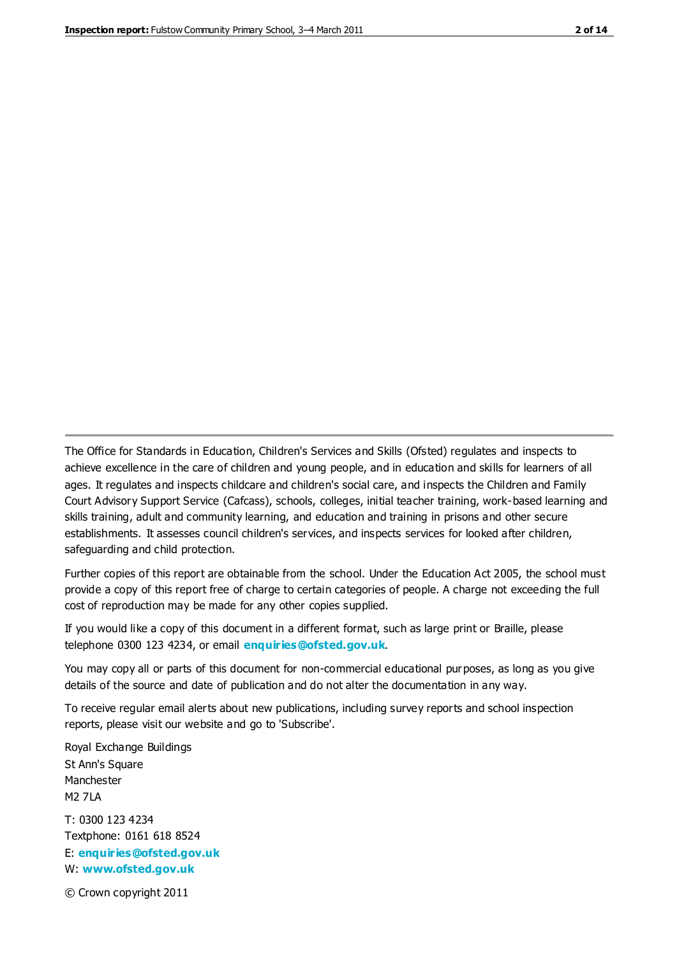The Office for Standards in Education, Children's Services and Skills (Ofsted) regulates and inspects to achieve excellence in the care of children and young people, and in education and skills for learners of all ages. It regulates and inspects childcare and children's social care, and inspects the Children and Family Court Advisory Support Service (Cafcass), schools, colleges, initial teacher training, work-based learning and skills training, adult and community learning, and education and training in prisons and other secure establishments. It assesses council children's services, and inspects services for looked after children, safeguarding and child protection.

Further copies of this report are obtainable from the school. Under the Education Act 2005, the school must provide a copy of this report free of charge to certain categories of people. A charge not exceeding the full cost of reproduction may be made for any other copies supplied.

If you would like a copy of this document in a different format, such as large print or Braille, please telephone 0300 123 4234, or email **[enquiries@ofsted.gov.uk](mailto:enquiries@ofsted.gov.uk)**.

You may copy all or parts of this document for non-commercial educational purposes, as long as you give details of the source and date of publication and do not alter the documentation in any way.

To receive regular email alerts about new publications, including survey reports and school inspection reports, please visit our website and go to 'Subscribe'.

Royal Exchange Buildings St Ann's Square Manchester M2 7LA T: 0300 123 4234 Textphone: 0161 618 8524 E: **[enquiries@ofsted.gov.uk](mailto:enquiries@ofsted.gov.uk)**

W: **[www.ofsted.gov.uk](http://www.ofsted.gov.uk/)**

© Crown copyright 2011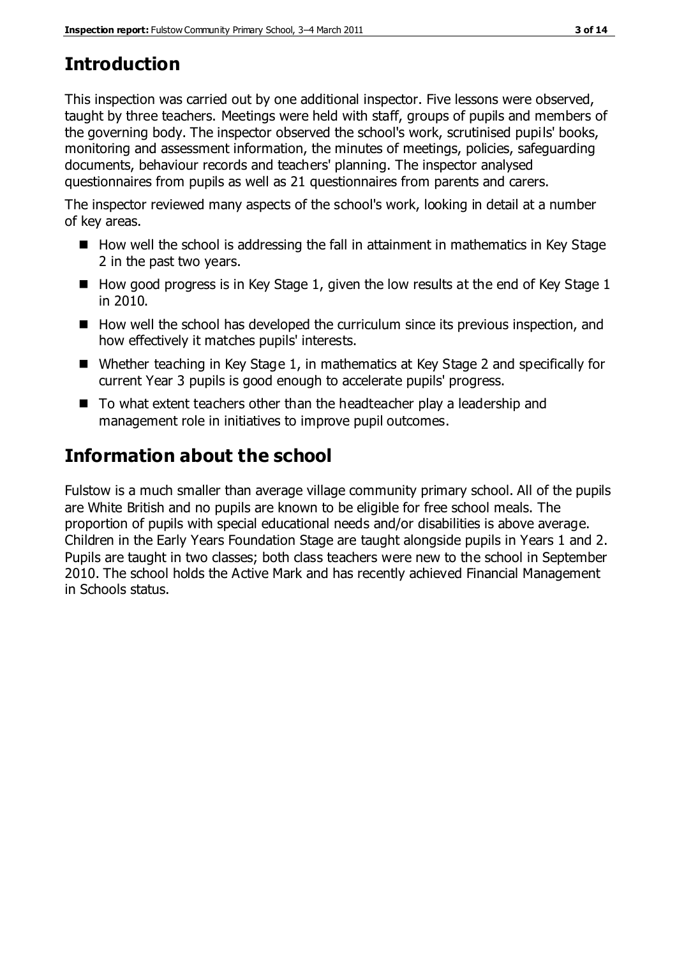# **Introduction**

This inspection was carried out by one additional inspector. Five lessons were observed, taught by three teachers. Meetings were held with staff, groups of pupils and members of the governing body. The inspector observed the school's work, scrutinised pupils' books, monitoring and assessment information, the minutes of meetings, policies, safeguarding documents, behaviour records and teachers' planning. The inspector analysed questionnaires from pupils as well as 21 questionnaires from parents and carers.

The inspector reviewed many aspects of the school's work, looking in detail at a number of key areas.

- $\blacksquare$  How well the school is addressing the fall in attainment in mathematics in Key Stage 2 in the past two years.
- $\blacksquare$  How good progress is in Key Stage 1, given the low results at the end of Key Stage 1 in 2010.
- $\blacksquare$  How well the school has developed the curriculum since its previous inspection, and how effectively it matches pupils' interests.
- Whether teaching in Key Stage 1, in mathematics at Key Stage 2 and specifically for current Year 3 pupils is good enough to accelerate pupils' progress.
- To what extent teachers other than the headteacher play a leadership and management role in initiatives to improve pupil outcomes.

# **Information about the school**

Fulstow is a much smaller than average village community primary school. All of the pupils are White British and no pupils are known to be eligible for free school meals. The proportion of pupils with special educational needs and/or disabilities is above average. Children in the Early Years Foundation Stage are taught alongside pupils in Years 1 and 2. Pupils are taught in two classes; both class teachers were new to the school in September 2010. The school holds the Active Mark and has recently achieved Financial Management in Schools status.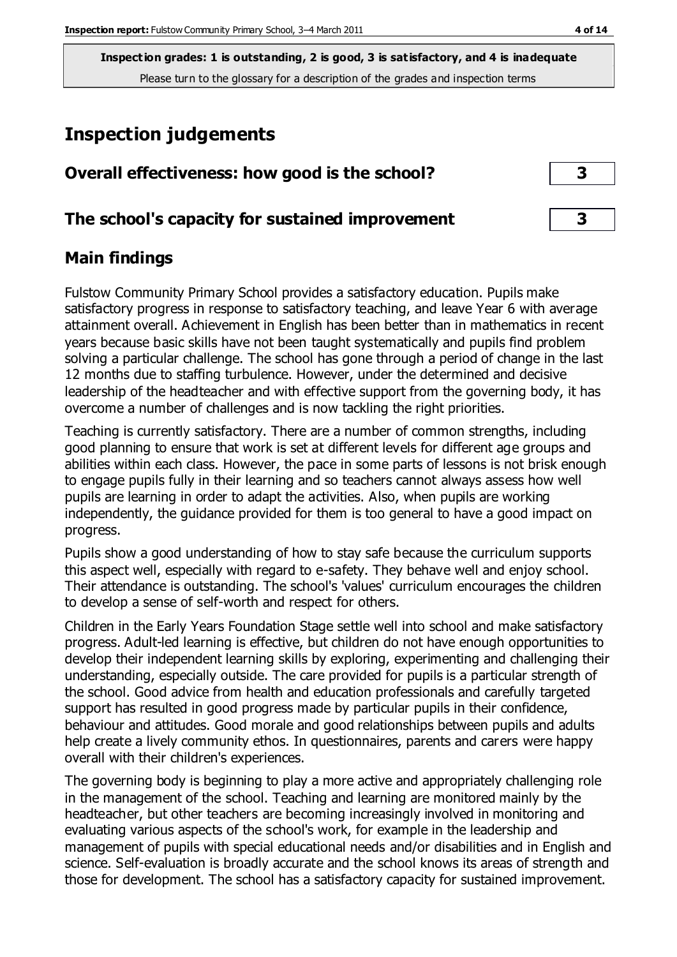# **Inspection judgements**

| Overall effectiveness: how good is the school?  |  |
|-------------------------------------------------|--|
| The school's capacity for sustained improvement |  |

### **Main findings**

Fulstow Community Primary School provides a satisfactory education. Pupils make satisfactory progress in response to satisfactory teaching, and leave Year 6 with average attainment overall. Achievement in English has been better than in mathematics in recent years because basic skills have not been taught systematically and pupils find problem solving a particular challenge. The school has gone through a period of change in the last 12 months due to staffing turbulence. However, under the determined and decisive leadership of the headteacher and with effective support from the governing body, it has overcome a number of challenges and is now tackling the right priorities.

Teaching is currently satisfactory. There are a number of common strengths, including good planning to ensure that work is set at different levels for different age groups and abilities within each class. However, the pace in some parts of lessons is not brisk enough to engage pupils fully in their learning and so teachers cannot always assess how well pupils are learning in order to adapt the activities. Also, when pupils are working independently, the guidance provided for them is too general to have a good impact on progress.

Pupils show a good understanding of how to stay safe because the curriculum supports this aspect well, especially with regard to e-safety. They behave well and enjoy school. Their attendance is outstanding. The school's 'values' curriculum encourages the children to develop a sense of self-worth and respect for others.

Children in the Early Years Foundation Stage settle well into school and make satisfactory progress. Adult-led learning is effective, but children do not have enough opportunities to develop their independent learning skills by exploring, experimenting and challenging their understanding, especially outside. The care provided for pupils is a particular strength of the school. Good advice from health and education professionals and carefully targeted support has resulted in good progress made by particular pupils in their confidence, behaviour and attitudes. Good morale and good relationships between pupils and adults help create a lively community ethos. In questionnaires, parents and carers were happy overall with their children's experiences.

The governing body is beginning to play a more active and appropriately challenging role in the management of the school. Teaching and learning are monitored mainly by the headteacher, but other teachers are becoming increasingly involved in monitoring and evaluating various aspects of the school's work, for example in the leadership and management of pupils with special educational needs and/or disabilities and in English and science. Self-evaluation is broadly accurate and the school knows its areas of strength and those for development. The school has a satisfactory capacity for sustained improvement.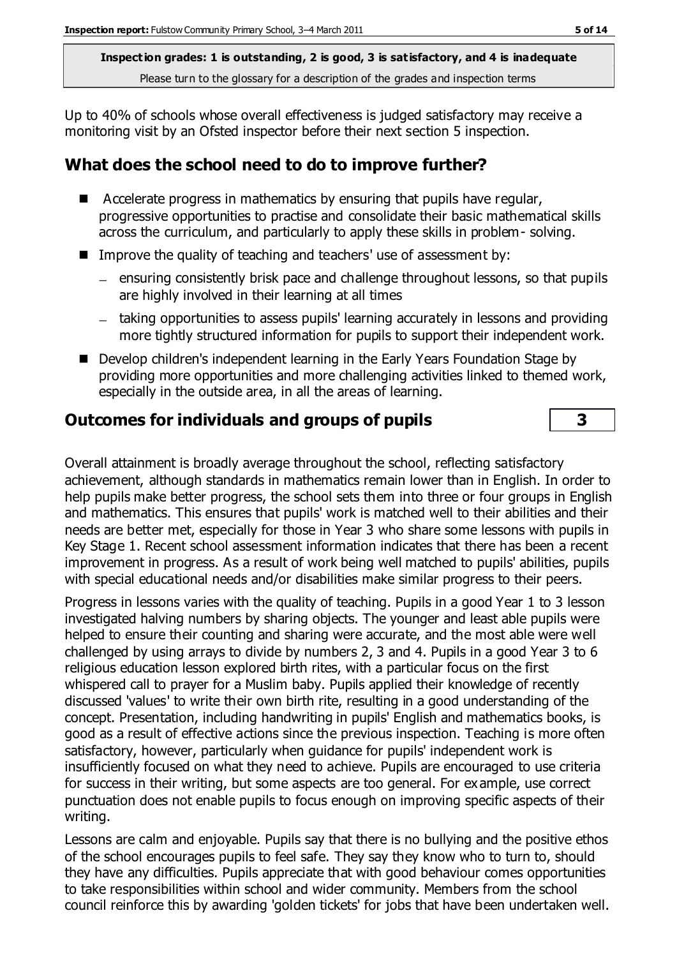Up to 40% of schools whose overall effectiveness is judged satisfactory may receive a monitoring visit by an Ofsted inspector before their next section 5 inspection.

# **What does the school need to do to improve further?**

- $\blacksquare$  Accelerate progress in mathematics by ensuring that pupils have regular, progressive opportunities to practise and consolidate their basic mathematical skills across the curriculum, and particularly to apply these skills in problem- solving.
- Improve the quality of teaching and teachers' use of assessment by:
	- ensuring consistently brisk pace and challenge throughout lessons, so that pupils are highly involved in their learning at all times
	- taking opportunities to assess pupils' learning accurately in lessons and providing more tightly structured information for pupils to support their independent work.
- Develop children's independent learning in the Early Years Foundation Stage by providing more opportunities and more challenging activities linked to themed work, especially in the outside area, in all the areas of learning.

## **Outcomes for individuals and groups of pupils 3**

Overall attainment is broadly average throughout the school, reflecting satisfactory achievement, although standards in mathematics remain lower than in English. In order to help pupils make better progress, the school sets them into three or four groups in English and mathematics. This ensures that pupils' work is matched well to their abilities and their needs are better met, especially for those in Year 3 who share some lessons with pupils in Key Stage 1. Recent school assessment information indicates that there has been a recent improvement in progress. As a result of work being well matched to pupils' abilities, pupils with special educational needs and/or disabilities make similar progress to their peers.

Progress in lessons varies with the quality of teaching. Pupils in a good Year 1 to 3 lesson investigated halving numbers by sharing objects. The younger and least able pupils were helped to ensure their counting and sharing were accurate, and the most able were well challenged by using arrays to divide by numbers 2, 3 and 4. Pupils in a good Year 3 to 6 religious education lesson explored birth rites, with a particular focus on the first whispered call to prayer for a Muslim baby. Pupils applied their knowledge of recently discussed 'values' to write their own birth rite, resulting in a good understanding of the concept. Presentation, including handwriting in pupils' English and mathematics books, is good as a result of effective actions since the previous inspection. Teaching is more often satisfactory, however, particularly when guidance for pupils' independent work is insufficiently focused on what they need to achieve. Pupils are encouraged to use criteria for success in their writing, but some aspects are too general. For example, use correct punctuation does not enable pupils to focus enough on improving specific aspects of their writing.

Lessons are calm and enjoyable. Pupils say that there is no bullying and the positive ethos of the school encourages pupils to feel safe. They say they know who to turn to, should they have any difficulties. Pupils appreciate that with good behaviour comes opportunities to take responsibilities within school and wider community. Members from the school council reinforce this by awarding 'golden tickets' for jobs that have been undertaken well.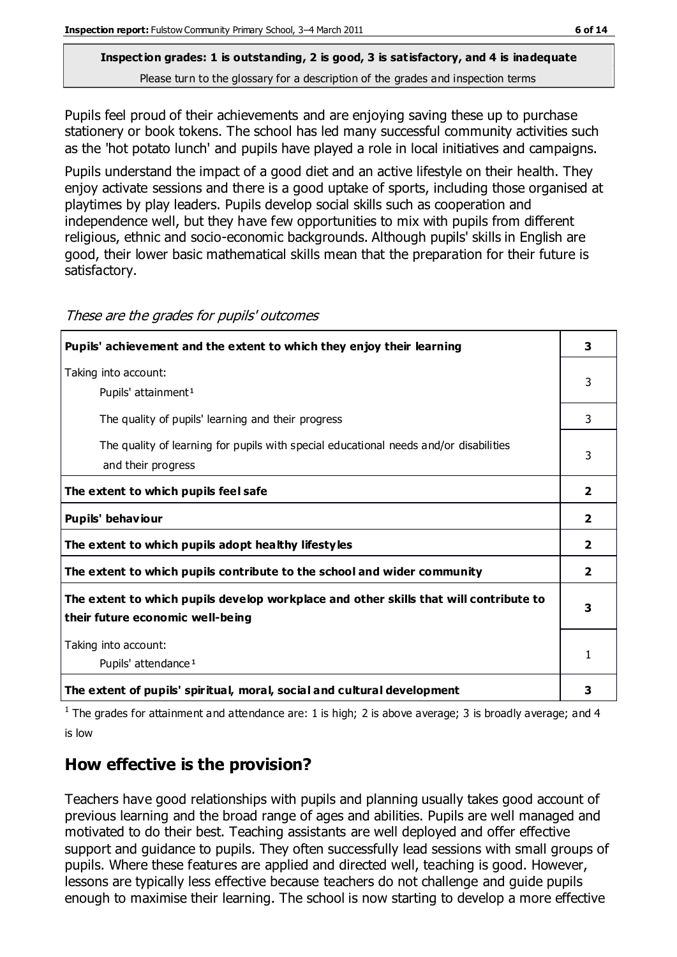# **Inspection grades: 1 is outstanding, 2 is good, 3 is satisfactory, and 4 is inadequate**

Please turn to the glossary for a description of the grades and inspection terms

Pupils feel proud of their achievements and are enjoying saving these up to purchase stationery or book tokens. The school has led many successful community activities such as the 'hot potato lunch' and pupils have played a role in local initiatives and campaigns.

Pupils understand the impact of a good diet and an active lifestyle on their health. They enjoy activate sessions and there is a good uptake of sports, including those organised at playtimes by play leaders. Pupils develop social skills such as cooperation and independence well, but they have few opportunities to mix with pupils from different religious, ethnic and socio-economic backgrounds. Although pupils' skills in English are good, their lower basic mathematical skills mean that the preparation for their future is satisfactory.

| Pupils' achievement and the extent to which they enjoy their learning                                                     | 3              |
|---------------------------------------------------------------------------------------------------------------------------|----------------|
| Taking into account:<br>Pupils' attainment <sup>1</sup>                                                                   | 3              |
| The quality of pupils' learning and their progress                                                                        | 3              |
| The quality of learning for pupils with special educational needs and/or disabilities<br>and their progress               | 3              |
| The extent to which pupils feel safe                                                                                      | $\overline{2}$ |
| Pupils' behaviour                                                                                                         | $\mathbf{2}$   |
| The extent to which pupils adopt healthy lifestyles                                                                       | $\overline{2}$ |
| The extent to which pupils contribute to the school and wider community                                                   | $\overline{2}$ |
| The extent to which pupils develop workplace and other skills that will contribute to<br>their future economic well-being | 3              |
| Taking into account:<br>Pupils' attendance <sup>1</sup>                                                                   | 1              |
| The extent of pupils' spiritual, moral, social and cultural development                                                   | 3              |

These are the grades for pupils' outcomes

<sup>1</sup> The grades for attainment and attendance are: 1 is high; 2 is above average; 3 is broadly average; and 4 is low

### **How effective is the provision?**

Teachers have good relationships with pupils and planning usually takes good account of previous learning and the broad range of ages and abilities. Pupils are well managed and motivated to do their best. Teaching assistants are well deployed and offer effective support and guidance to pupils. They often successfully lead sessions with small groups of pupils. Where these features are applied and directed well, teaching is good. However, lessons are typically less effective because teachers do not challenge and guide pupils enough to maximise their learning. The school is now starting to develop a more effective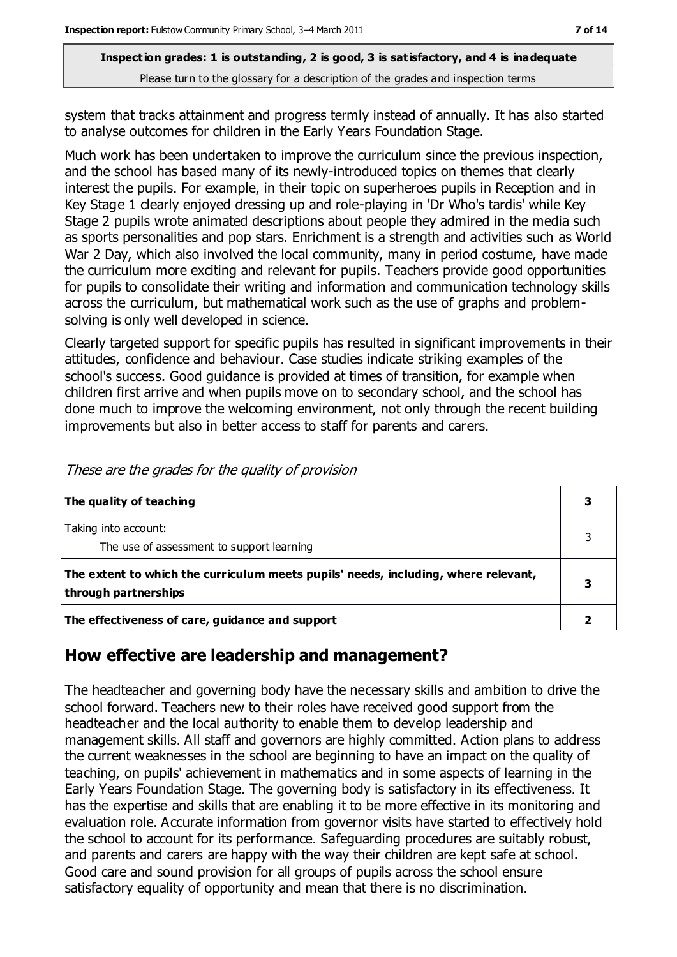system that tracks attainment and progress termly instead of annually. It has also started to analyse outcomes for children in the Early Years Foundation Stage.

Much work has been undertaken to improve the curriculum since the previous inspection, and the school has based many of its newly-introduced topics on themes that clearly interest the pupils. For example, in their topic on superheroes pupils in Reception and in Key Stage 1 clearly enjoyed dressing up and role-playing in 'Dr Who's tardis' while Key Stage 2 pupils wrote animated descriptions about people they admired in the media such as sports personalities and pop stars. Enrichment is a strength and activities such as World War 2 Day, which also involved the local community, many in period costume, have made the curriculum more exciting and relevant for pupils. Teachers provide good opportunities for pupils to consolidate their writing and information and communication technology skills across the curriculum, but mathematical work such as the use of graphs and problemsolving is only well developed in science.

Clearly targeted support for specific pupils has resulted in significant improvements in their attitudes, confidence and behaviour. Case studies indicate striking examples of the school's success. Good guidance is provided at times of transition, for example when children first arrive and when pupils move on to secondary school, and the school has done much to improve the welcoming environment, not only through the recent building improvements but also in better access to staff for parents and carers.

| The quality of teaching                                                                                    | 3 |
|------------------------------------------------------------------------------------------------------------|---|
| Taking into account:<br>The use of assessment to support learning                                          |   |
| The extent to which the curriculum meets pupils' needs, including, where relevant,<br>through partnerships |   |
| The effectiveness of care, guidance and support                                                            |   |

These are the grades for the quality of provision

### **How effective are leadership and management?**

The headteacher and governing body have the necessary skills and ambition to drive the school forward. Teachers new to their roles have received good support from the headteacher and the local authority to enable them to develop leadership and management skills. All staff and governors are highly committed. Action plans to address the current weaknesses in the school are beginning to have an impact on the quality of teaching, on pupils' achievement in mathematics and in some aspects of learning in the Early Years Foundation Stage. The governing body is satisfactory in its effectiveness. It has the expertise and skills that are enabling it to be more effective in its monitoring and evaluation role. Accurate information from governor visits have started to effectively hold the school to account for its performance. Safeguarding procedures are suitably robust, and parents and carers are happy with the way their children are kept safe at school. Good care and sound provision for all groups of pupils across the school ensure satisfactory equality of opportunity and mean that there is no discrimination.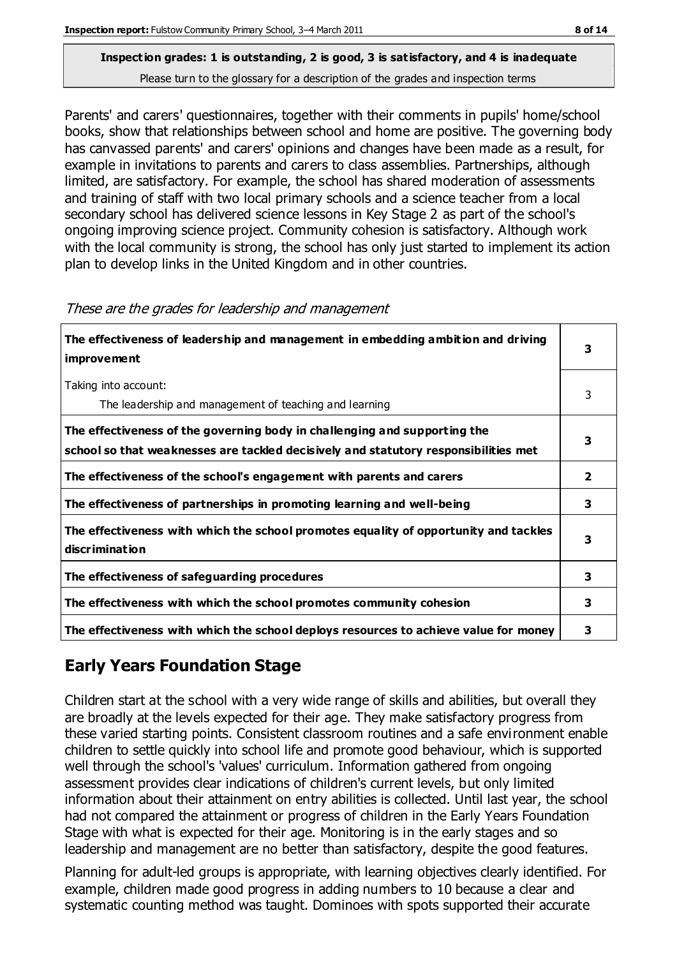Parents' and carers' questionnaires, together with their comments in pupils' home/school books, show that relationships between school and home are positive. The governing body has canvassed parents' and carers' opinions and changes have been made as a result, for example in invitations to parents and carers to class assemblies. Partnerships, although limited, are satisfactory. For example, the school has shared moderation of assessments and training of staff with two local primary schools and a science teacher from a local secondary school has delivered science lessons in Key Stage 2 as part of the school's ongoing improving science project. Community cohesion is satisfactory. Although work

with the local community is strong, the school has only just started to implement its action

| The effectiveness of leadership and management in embedding ambition and driving<br>improvement                                                                  | з |
|------------------------------------------------------------------------------------------------------------------------------------------------------------------|---|
| Taking into account:<br>The leadership and management of teaching and learning                                                                                   | 3 |
| The effectiveness of the governing body in challenging and supporting the<br>school so that weaknesses are tackled decisively and statutory responsibilities met | 3 |
| The effectiveness of the school's engagement with parents and carers                                                                                             | 2 |
| The effectiveness of partnerships in promoting learning and well-being                                                                                           | 3 |
| The effectiveness with which the school promotes equality of opportunity and tackles<br>discrimination                                                           | 3 |
| The effectiveness of safeguarding procedures                                                                                                                     | 3 |
| The effectiveness with which the school promotes community cohesion                                                                                              | 3 |
| The effectiveness with which the school deploys resources to achieve value for money                                                                             | з |

#### These are the grades for leadership and management

plan to develop links in the United Kingdom and in other countries.

# **Early Years Foundation Stage**

Children start at the school with a very wide range of skills and abilities, but overall they are broadly at the levels expected for their age. They make satisfactory progress from these varied starting points. Consistent classroom routines and a safe environment enable children to settle quickly into school life and promote good behaviour, which is supported well through the school's 'values' curriculum. Information gathered from ongoing assessment provides clear indications of children's current levels, but only limited information about their attainment on entry abilities is collected. Until last year, the school had not compared the attainment or progress of children in the Early Years Foundation Stage with what is expected for their age. Monitoring is in the early stages and so leadership and management are no better than satisfactory, despite the good features.

Planning for adult-led groups is appropriate, with learning objectives clearly identified. For example, children made good progress in adding numbers to 10 because a clear and systematic counting method was taught. Dominoes with spots supported their accurate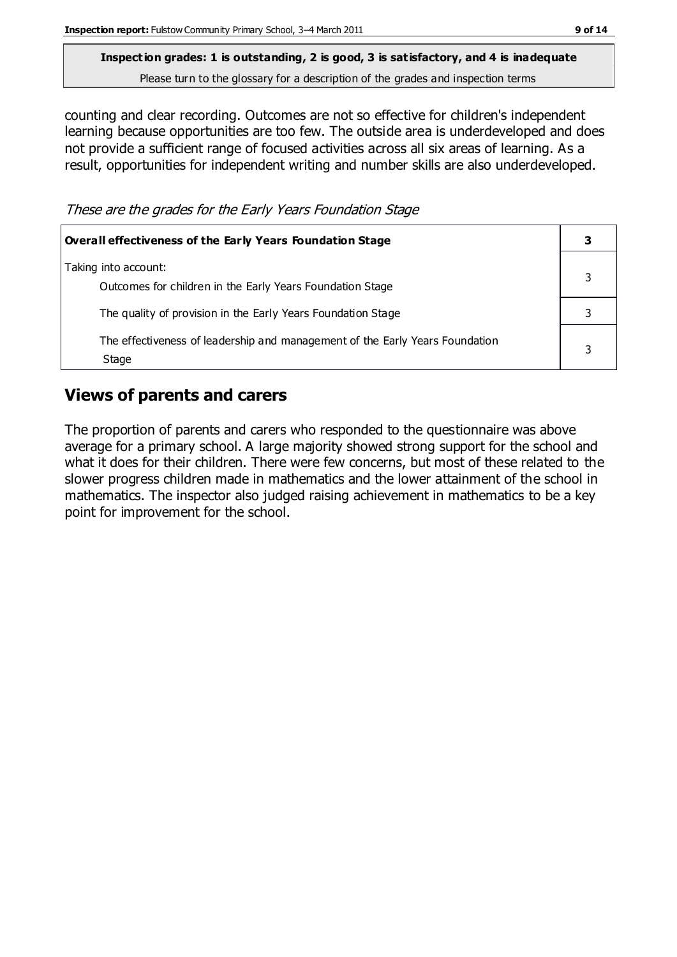counting and clear recording. Outcomes are not so effective for children's independent learning because opportunities are too few. The outside area is underdeveloped and does not provide a sufficient range of focused activities across all six areas of learning. As a result, opportunities for independent writing and number skills are also underdeveloped.

These are the grades for the Early Years Foundation Stage

| <b>Overall effectiveness of the Early Years Foundation Stage</b>                      |  |
|---------------------------------------------------------------------------------------|--|
| Taking into account:<br>Outcomes for children in the Early Years Foundation Stage     |  |
| The quality of provision in the Early Years Foundation Stage                          |  |
| The effectiveness of leadership and management of the Early Years Foundation<br>Stage |  |

## **Views of parents and carers**

The proportion of parents and carers who responded to the questionnaire was above average for a primary school. A large majority showed strong support for the school and what it does for their children. There were few concerns, but most of these related to the slower progress children made in mathematics and the lower attainment of the school in mathematics. The inspector also judged raising achievement in mathematics to be a key point for improvement for the school.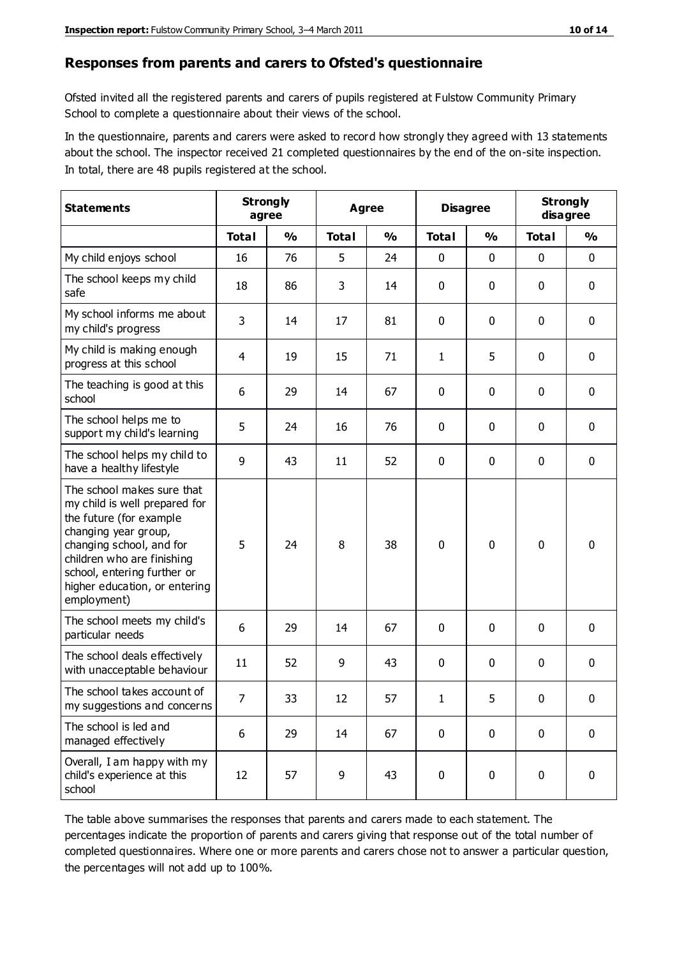#### **Responses from parents and carers to Ofsted's questionnaire**

Ofsted invited all the registered parents and carers of pupils registered at Fulstow Community Primary School to complete a questionnaire about their views of the school.

In the questionnaire, parents and carers were asked to record how strongly they agreed with 13 statements about the school. The inspector received 21 completed questionnaires by the end of the on-site inspection. In total, there are 48 pupils registered at the school.

| <b>Statements</b>                                                                                                                                                                                                                                       |                | <b>Strongly</b><br>agree |              | Agree         |                | <b>Disagree</b> |              | <b>Strongly</b><br>disagree |  |
|---------------------------------------------------------------------------------------------------------------------------------------------------------------------------------------------------------------------------------------------------------|----------------|--------------------------|--------------|---------------|----------------|-----------------|--------------|-----------------------------|--|
|                                                                                                                                                                                                                                                         | <b>Total</b>   | $\frac{0}{0}$            | <b>Total</b> | $\frac{0}{0}$ | <b>Total</b>   | $\frac{0}{0}$   | <b>Total</b> | $\frac{0}{0}$               |  |
| My child enjoys school                                                                                                                                                                                                                                  | 16             | 76                       | 5            | 24            | 0              | 0               | $\mathbf 0$  | $\mathbf 0$                 |  |
| The school keeps my child<br>safe                                                                                                                                                                                                                       | 18             | 86                       | 3            | 14            | 0              | 0               | $\mathbf 0$  | $\mathbf 0$                 |  |
| My school informs me about<br>my child's progress                                                                                                                                                                                                       | 3              | 14                       | 17           | 81            | 0              | $\mathbf 0$     | $\mathbf 0$  | $\mathbf 0$                 |  |
| My child is making enough<br>progress at this school                                                                                                                                                                                                    | $\overline{4}$ | 19                       | 15           | 71            | 1              | 5               | 0            | $\mathbf 0$                 |  |
| The teaching is good at this<br>school                                                                                                                                                                                                                  | 6              | 29                       | 14           | 67            | 0              | 0               | $\mathbf 0$  | $\mathbf 0$                 |  |
| The school helps me to<br>support my child's learning                                                                                                                                                                                                   | 5              | 24                       | 16           | 76            | 0              | 0               | $\mathbf 0$  | $\mathbf 0$                 |  |
| The school helps my child to<br>have a healthy lifestyle                                                                                                                                                                                                | 9              | 43                       | 11           | 52            | $\mathbf 0$    | $\mathbf 0$     | $\mathbf 0$  | $\mathbf 0$                 |  |
| The school makes sure that<br>my child is well prepared for<br>the future (for example<br>changing year group,<br>changing school, and for<br>children who are finishing<br>school, entering further or<br>higher education, or entering<br>employment) | 5              | 24                       | 8            | 38            | $\overline{0}$ | $\mathbf 0$     | $\mathbf 0$  | $\mathbf 0$                 |  |
| The school meets my child's<br>particular needs                                                                                                                                                                                                         | 6              | 29                       | 14           | 67            | 0              | $\mathbf 0$     | $\mathbf 0$  | $\mathbf 0$                 |  |
| The school deals effectively<br>with unacceptable behaviour                                                                                                                                                                                             | 11             | 52                       | 9            | 43            | 0              | 0               | $\mathbf 0$  | 0                           |  |
| The school takes account of<br>my suggestions and concerns                                                                                                                                                                                              | $\overline{7}$ | 33                       | 12           | 57            | 1              | 5               | 0            | 0                           |  |
| The school is led and<br>managed effectively                                                                                                                                                                                                            | 6              | 29                       | 14           | 67            | $\mathbf 0$    | $\mathbf 0$     | $\mathbf 0$  | $\mathbf 0$                 |  |
| Overall, I am happy with my<br>child's experience at this<br>school                                                                                                                                                                                     | 12             | 57                       | 9            | 43            | $\pmb{0}$      | 0               | $\mathbf 0$  | $\mathbf 0$                 |  |

The table above summarises the responses that parents and carers made to each statement. The percentages indicate the proportion of parents and carers giving that response out of the total number of completed questionnaires. Where one or more parents and carers chose not to answer a particular question, the percentages will not add up to 100%.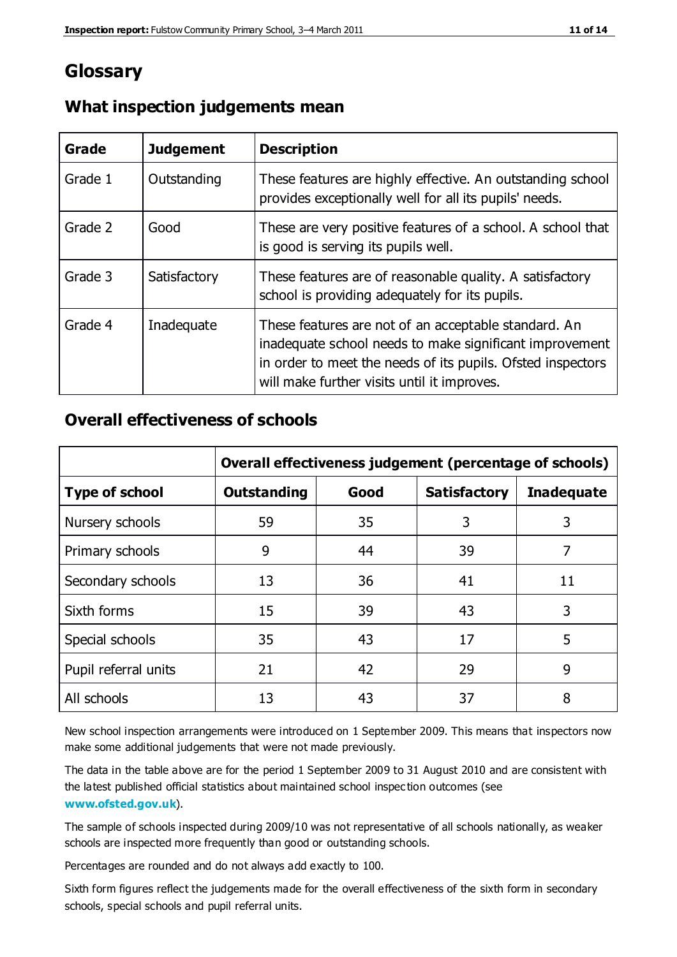# **Glossary**

| Grade   | <b>Judgement</b> | <b>Description</b>                                                                                                                                                                                                            |
|---------|------------------|-------------------------------------------------------------------------------------------------------------------------------------------------------------------------------------------------------------------------------|
| Grade 1 | Outstanding      | These features are highly effective. An outstanding school<br>provides exceptionally well for all its pupils' needs.                                                                                                          |
| Grade 2 | Good             | These are very positive features of a school. A school that<br>is good is serving its pupils well.                                                                                                                            |
| Grade 3 | Satisfactory     | These features are of reasonable quality. A satisfactory<br>school is providing adequately for its pupils.                                                                                                                    |
| Grade 4 | Inadequate       | These features are not of an acceptable standard. An<br>inadequate school needs to make significant improvement<br>in order to meet the needs of its pupils. Ofsted inspectors<br>will make further visits until it improves. |

### **What inspection judgements mean**

### **Overall effectiveness of schools**

|                       | Overall effectiveness judgement (percentage of schools) |      |                     |                   |
|-----------------------|---------------------------------------------------------|------|---------------------|-------------------|
| <b>Type of school</b> | <b>Outstanding</b>                                      | Good | <b>Satisfactory</b> | <b>Inadequate</b> |
| Nursery schools       | 59                                                      | 35   | 3                   | 3                 |
| Primary schools       | 9                                                       | 44   | 39                  | 7                 |
| Secondary schools     | 13                                                      | 36   | 41                  | 11                |
| Sixth forms           | 15                                                      | 39   | 43                  | 3                 |
| Special schools       | 35                                                      | 43   | 17                  | 5                 |
| Pupil referral units  | 21                                                      | 42   | 29                  | 9                 |
| All schools           | 13                                                      | 43   | 37                  | 8                 |

New school inspection arrangements were introduced on 1 September 2009. This means that inspectors now make some additional judgements that were not made previously.

The data in the table above are for the period 1 September 2009 to 31 August 2010 and are consistent with the latest published official statistics about maintained school inspec tion outcomes (see **[www.ofsted.gov.uk](http://www.ofsted.gov.uk/)**).

The sample of schools inspected during 2009/10 was not representative of all schools nationally, as weaker schools are inspected more frequently than good or outstanding schools.

Percentages are rounded and do not always add exactly to 100.

Sixth form figures reflect the judgements made for the overall effectiveness of the sixth form in secondary schools, special schools and pupil referral units.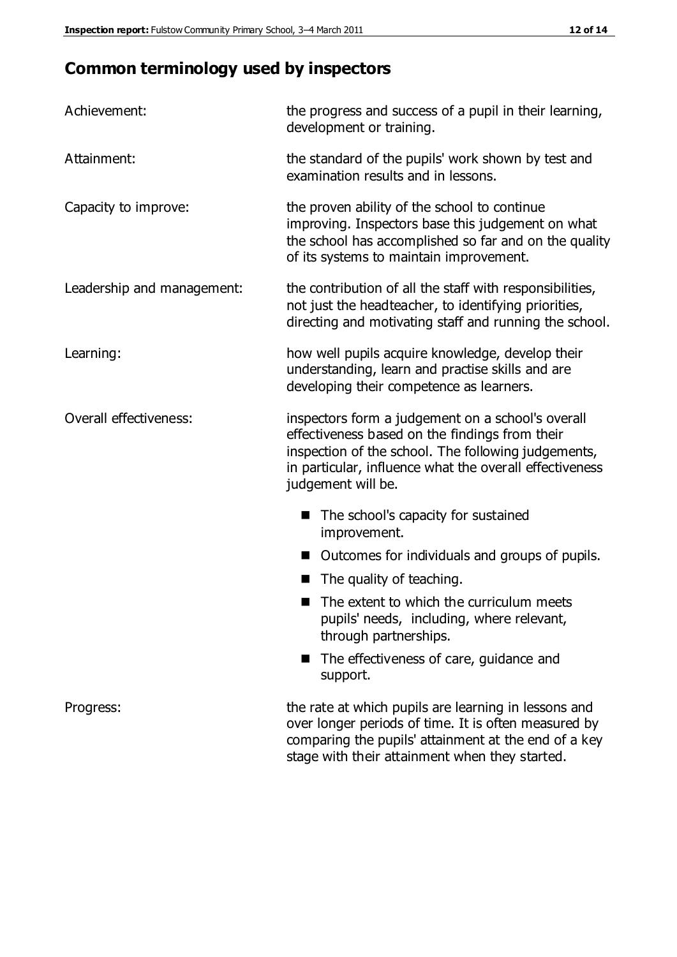# **Common terminology used by inspectors**

| Achievement:               | the progress and success of a pupil in their learning,<br>development or training.                                                                                                                                                          |  |  |
|----------------------------|---------------------------------------------------------------------------------------------------------------------------------------------------------------------------------------------------------------------------------------------|--|--|
| Attainment:                | the standard of the pupils' work shown by test and<br>examination results and in lessons.                                                                                                                                                   |  |  |
| Capacity to improve:       | the proven ability of the school to continue<br>improving. Inspectors base this judgement on what<br>the school has accomplished so far and on the quality<br>of its systems to maintain improvement.                                       |  |  |
| Leadership and management: | the contribution of all the staff with responsibilities,<br>not just the headteacher, to identifying priorities,<br>directing and motivating staff and running the school.                                                                  |  |  |
| Learning:                  | how well pupils acquire knowledge, develop their<br>understanding, learn and practise skills and are<br>developing their competence as learners.                                                                                            |  |  |
| Overall effectiveness:     | inspectors form a judgement on a school's overall<br>effectiveness based on the findings from their<br>inspection of the school. The following judgements,<br>in particular, influence what the overall effectiveness<br>judgement will be. |  |  |
|                            | The school's capacity for sustained<br>improvement.                                                                                                                                                                                         |  |  |
|                            | Outcomes for individuals and groups of pupils.                                                                                                                                                                                              |  |  |
|                            | The quality of teaching.                                                                                                                                                                                                                    |  |  |
|                            | The extent to which the curriculum meets<br>pupils' needs, including, where relevant,<br>through partnerships.                                                                                                                              |  |  |
|                            | The effectiveness of care, guidance and<br>support.                                                                                                                                                                                         |  |  |
| Progress:                  | the rate at which pupils are learning in lessons and<br>over longer periods of time. It is often measured by<br>comparing the pupils' attainment at the end of a key                                                                        |  |  |

stage with their attainment when they started.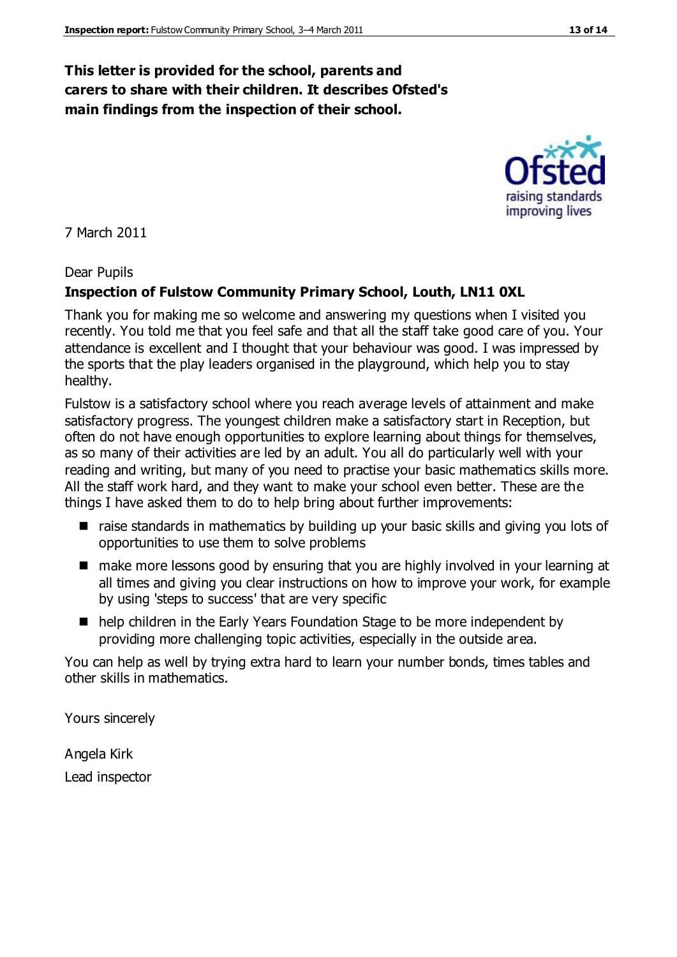### **This letter is provided for the school, parents and carers to share with their children. It describes Ofsted's main findings from the inspection of their school.**

7 March 2011

#### Dear Pupils

#### **Inspection of Fulstow Community Primary School, Louth, LN11 0XL**

Thank you for making me so welcome and answering my questions when I visited you recently. You told me that you feel safe and that all the staff take good care of you. Your attendance is excellent and I thought that your behaviour was good. I was impressed by the sports that the play leaders organised in the playground, which help you to stay healthy.

Fulstow is a satisfactory school where you reach average levels of attainment and make satisfactory progress. The youngest children make a satisfactory start in Reception, but often do not have enough opportunities to explore learning about things for themselves, as so many of their activities are led by an adult. You all do particularly well with your reading and writing, but many of you need to practise your basic mathematics skills more. All the staff work hard, and they want to make your school even better. These are the things I have asked them to do to help bring about further improvements:

- raise standards in mathematics by building up your basic skills and giving you lots of opportunities to use them to solve problems
- make more lessons good by ensuring that you are highly involved in your learning at all times and giving you clear instructions on how to improve your work, for example by using 'steps to success' that are very specific
- help children in the Early Years Foundation Stage to be more independent by providing more challenging topic activities, especially in the outside area.

You can help as well by trying extra hard to learn your number bonds, times tables and other skills in mathematics.

Yours sincerely

Angela Kirk Lead inspector